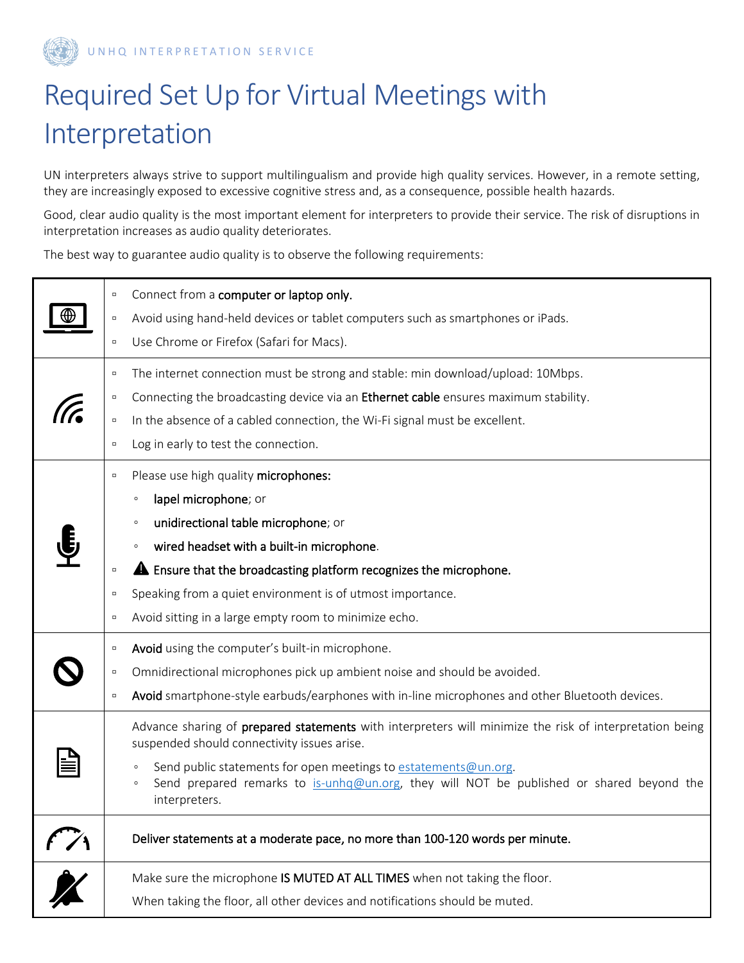

UNHQ INTERPRETATION SERVICE

## Required Set Up for Virtual Meetings with Interpretation

UN interpreters always strive to support multilingualism and provide high quality services. However, in a remote setting, they are increasingly exposed to excessive cognitive stress and, as a consequence, possible health hazards.

Good, clear audio quality is the most important element for interpreters to provide their service. The risk of disruptions in interpretation increases as audio quality deteriorates.

The best way to guarantee audio quality is to observe the following requirements:

|                             | Connect from a computer or laptop only.<br>$\Box$                                                                                                                                                  |  |
|-----------------------------|----------------------------------------------------------------------------------------------------------------------------------------------------------------------------------------------------|--|
|                             | Avoid using hand-held devices or tablet computers such as smartphones or iPads.<br>$\Box$                                                                                                          |  |
|                             | Use Chrome or Firefox (Safari for Macs).<br>$\Box$                                                                                                                                                 |  |
|                             | The internet connection must be strong and stable: min download/upload: 10Mbps.<br>$\Box$                                                                                                          |  |
|                             | Connecting the broadcasting device via an Ethernet cable ensures maximum stability.<br>$\Box$                                                                                                      |  |
|                             | In the absence of a cabled connection, the Wi-Fi signal must be excellent.<br>$\Box$                                                                                                               |  |
|                             | Log in early to test the connection.<br>$\Box$                                                                                                                                                     |  |
|                             | Please use high quality microphones:<br>$\Box$                                                                                                                                                     |  |
|                             | lapel microphone; or<br>$\circ$                                                                                                                                                                    |  |
|                             | unidirectional table microphone; or<br>$\circ$                                                                                                                                                     |  |
|                             | wired headset with a built-in microphone.<br>$\circ$                                                                                                                                               |  |
|                             | <b>A</b> Ensure that the broadcasting platform recognizes the microphone.<br>$\Box$                                                                                                                |  |
|                             | Speaking from a quiet environment is of utmost importance.<br>$\Box$                                                                                                                               |  |
|                             | Avoid sitting in a large empty room to minimize echo.<br>$\Box$                                                                                                                                    |  |
|                             | Avoid using the computer's built-in microphone.<br>$\Box$                                                                                                                                          |  |
|                             | Omnidirectional microphones pick up ambient noise and should be avoided.<br>$\Box$                                                                                                                 |  |
|                             | Avoid smartphone-style earbuds/earphones with in-line microphones and other Bluetooth devices.<br>$\Box$                                                                                           |  |
|                             | Advance sharing of prepared statements with interpreters will minimize the risk of interpretation being<br>suspended should connectivity issues arise.                                             |  |
|                             | Send public statements for open meetings to estatements@un.org.<br>$\circ$<br>Send prepared remarks to is-unhq@un.org, they will NOT be published or shared beyond the<br>$\circ$<br>interpreters. |  |
|                             | Deliver statements at a moderate pace, no more than 100-120 words per minute.                                                                                                                      |  |
| $\overline{\boldsymbol{X}}$ | Make sure the microphone IS MUTED AT ALL TIMES when not taking the floor.                                                                                                                          |  |
|                             | When taking the floor, all other devices and notifications should be muted.                                                                                                                        |  |